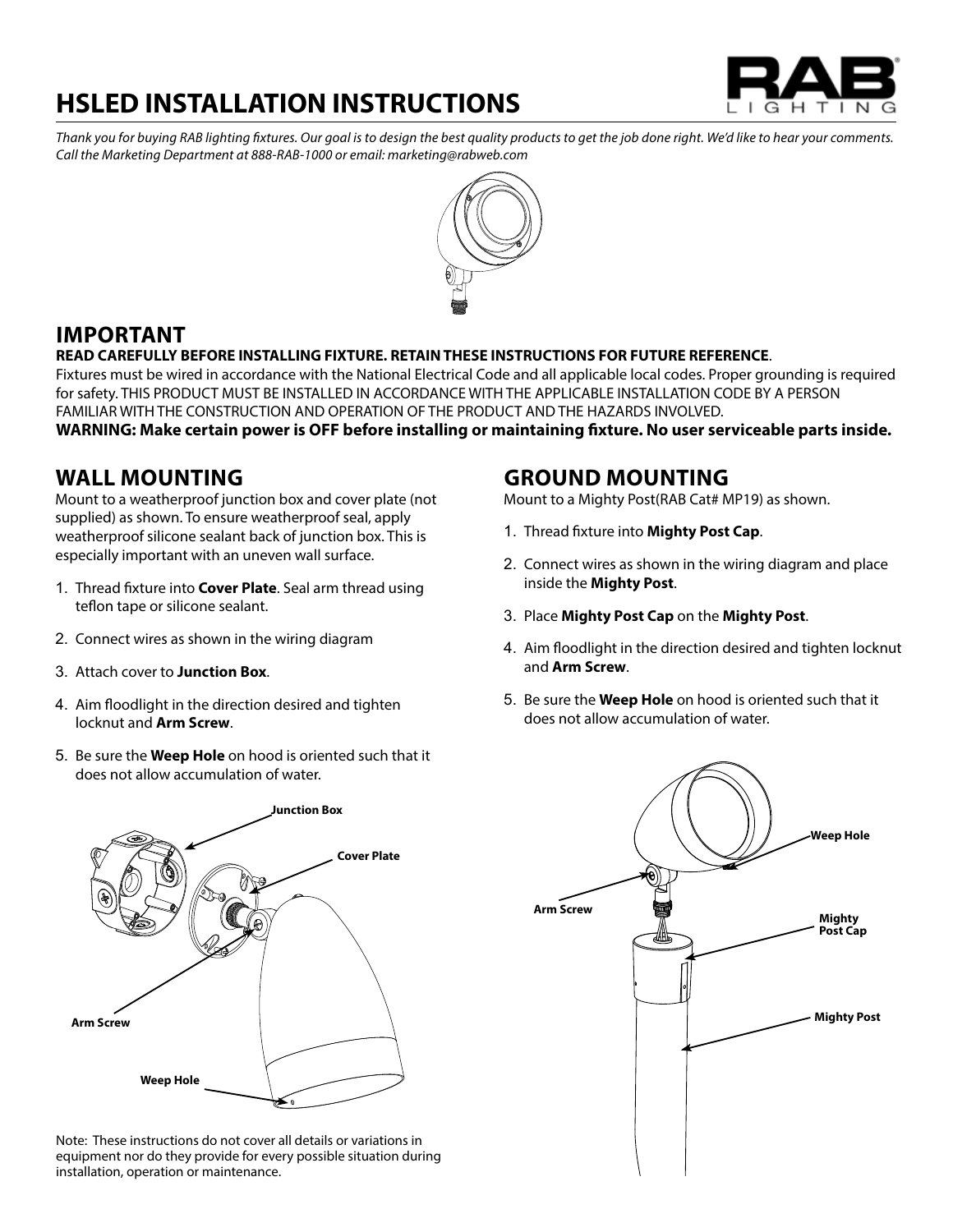# **HSLED INSTALLATION INSTRUCTIONS**



*Thank you for buying RAB lighting fixtures. Our goal is to design the best quality products to get the job done right. We'd like to hear your comments. Call the Marketing Department at 888-RAB-1000 or email: marketing@rabweb.com*



## **IMPORTANT**

#### **READ CAREFULLY BEFORE INSTALLING FIXTURE. RETAINTHESE INSTRUCTIONS FOR FUTURE REFERENCE**.

Fixtures must be wired in accordance with the National Electrical Code and all applicable local codes. Proper grounding is required for safety. THIS PRODUCT MUST BE INSTALLED IN ACCORDANCE WITH THE APPLICABLE INSTALLATION CODE BY A PERSON FAMILIAR WITH THE CONSTRUCTION AND OPERATION OF THE PRODUCT AND THE HAZARDS INVOLVED.

**WARNING: Make certain power is OFF before installing or maintaining fixture. No user serviceable parts inside.**

### **Wall Mounting**

Mount to a weatherproof junction box and cover plate (not supplied) as shown. To ensure weatherproof seal, apply weatherproof silicone sealant back of junction box. This is especially important with an uneven wall surface.

- 1. Thread fixture into **Cover Plate**. Seal arm thread using teflon tape or silicone sealant.
- 2. Connect wires as shown in the wiring diagram
- 3. Attach cover to **Junction Box**.
- 4. Aim floodlight in the direction desired and tighten locknut and **Arm Screw**.
- 5. Be sure the **Weep Hole** on hood is oriented such that it does not allow accumulation of water.



Note: These instructions do not cover all details or variations in equipment nor do they provide for every possible situation during installation, operation or maintenance.

### **Ground Mounting**

Mount to a Mighty Post(RAB Cat# MP19) as shown.

- 1. Thread fixture into **Mighty Post Cap**.
- 2. Connect wires as shown in the wiring diagram and place inside the **Mighty Post**.
- 3. Place **Mighty Post Cap** on the **Mighty Post**.
- 4. Aim floodlight in the direction desired and tighten locknut and **Arm Screw**.
- 5. Be sure the **Weep Hole** on hood is oriented such that it does not allow accumulation of water.